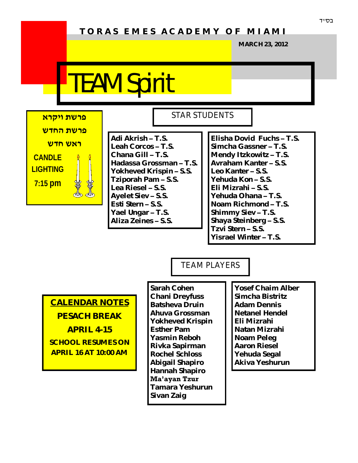# **T O R A S E M E S A C A D E M Y O F M I A M I**

**MARCH 23, 2012**

# TEAM Spirit



**Adi Akrish – T.S. Leah Corcos – T.S. Chana Gill – T.S. Hadassa Grossman – T.S. Yokheved Krispin – S.S. Tziporah Pam – S.S. Lea Riesel – S.S. Ayelet Siev – S.S. Esti Stern – S.S. Yael Ungar – T.S. Aliza Zeines – S.S.**

# **Elisha Dovid Fuchs – T.S.**

STAR STUDENTS

**Simcha Gassner – T.S. Mendy Itzkowitz – T.S. Avraham Kanter – S.S. Leo Kanter – S.S. Yehuda Kon – S.S. Eli Mizrahi – S.S. Yehuda Ohana – T.S. Noam Richmond – T.S. Shimmy Siev – T.S. Shaya Steinberg – S.S. Tzvi Stern – S.S. Yisrael Winter – T.S.**

TEAM PLAYERS

**CALENDAR NOTES PESACH BREAK APRIL 4-15 SCHOOL RESUMES ON APRIL 16 AT 10:00 AM**

**Sarah Cohen Chani Dreyfuss Batsheva Druin Ahuva Grossman Yokheved Krispin Esther Pam Yasmin Reboh Rivka Sapirman Rochel Schloss Abigail Shapiro Hannah Shapiro Ma'ayan Tzur Tamara Yeshurun Sivan Zaig**

**Yosef Chaim Alber Simcha Bistritz Adam Dennis Netanel Hendel Eli Mizrahi Natan Mizrahi Noam Peleg Aaron Riesel Yehuda Segal Akiva Yeshurun**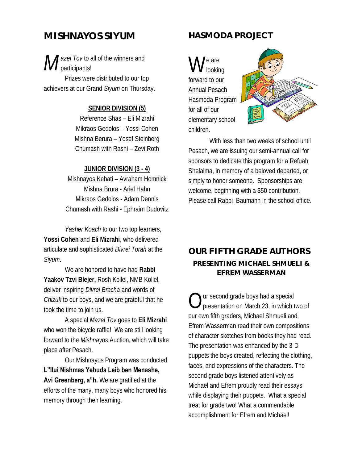# **MISHNAYOS SIYUM**

*M azel Tov* to all of the winners and participants!

Prizes were distributed to our top achievers at our Grand *Siyum* on Thursday.

#### **SENIOR DIVISION (5)**

Reference Shas – Eli Mizrahi Mikraos Gedolos – Yossi Cohen Mishna Berura – Yosef Steinberg Chumash with Rashi – Zevi Roth

#### **JUNIOR DIVISION (3 - 4)**

Mishnayos Kehati – Avraham Homnick Mishna Brura - Ariel Hahn Mikraos Gedolos - Adam Dennis Chumash with Rashi - Ephraim Dudovitz

*Yasher Koach* to our two top learners, **Yossi Cohen** and **Eli Mizrahi**, who delivered articulate and sophisticated *Divrei Torah* at the *Siyum*.

We are honored to have had **Rabbi Yaakov Tzvi Blejer,** Rosh Kollel, NMB Kollel, deliver inspiring *Divrei Bracha* and words of *Chizuk* to our boys, and we are grateful that he took the time to join us.

A special *Mazel Tov* goes to **Eli Mizrahi**  who won the bicycle raffle! We are still looking forward to the *Mishnayos* Auction, which will take place after Pesach.

Our Mishnayos Program was conducted **L"Ilui Nishmas Yehuda Leib ben Menashe, Avi Greenberg, a"h.** We are gratified at the efforts of the many, many boys who honored his memory through their learning.

#### **HASMODA PROJECT**

W e are looking forward to our Annual Pesach Hasmoda Program for all of our elementary school children.



With less than two weeks of school until Pesach, we are issuing our semi-annual call for sponsors to dedicate this program for a Refuah Shelaima, in memory of a beloved departed, or simply to honor someone. Sponsorships are welcome, beginning with a \$50 contribution. Please call Rabbi Baumann in the school office.

### **OUR FIFTH GRADE AUTHORS PRESENTING MICHAEL SHMUELI & EFREM WASSERMAN**

 $\bigcirc$ ur second grade boys had a special presentation on March 23, in which two of our own fifth graders, Michael Shmueli and Efrem Wasserman read their own compositions of character sketches from books they had read. The presentation was enhanced by the 3-D puppets the boys created, reflecting the clothing, faces, and expressions of the characters. The second grade boys listened attentively as Michael and Efrem proudly read their essays while displaying their puppets. What a special treat for grade two! What a commendable accomplishment for Efrem and Michael!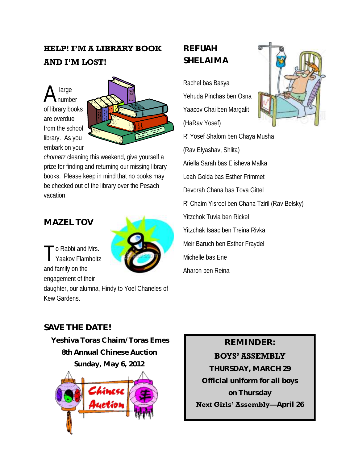# **HELP! I'M A LIBRARY BOOK AND I'M LOST!**

A large number of library books are overdue from the school library. As you embark on your



*chometz* cleaning this weekend, give yourself a prize for finding and returning our missing library books. Please keep in mind that no books may be checked out of the library over the Pesach vacation.

## **MAZEL TOV**

T o Rabbi and Mrs. Yaakov Flamholtz and family on the engagement of their

daughter, our alumna, Hindy to Yoel Chaneles of Kew Gardens.

# **REFUAH SHELAIMA**

Rachel bas Basya Yehuda Pinchas ben Osna Yaacov Chai ben Margalit (HaRav Yosef)

R' Yosef Shalom ben Chaya Musha (Rav Elyashav, Shlita) Ariella Sarah bas Elisheva Malka Leah Golda bas Esther Frimmet Devorah Chana bas Tova Gittel

#### R' Chaim Yisroel ben Chana Tziril (Rav Belsky)

Yitzchok Tuvia ben Rickel Yitzchak Isaac ben Treina Rivka Meir Baruch ben Esther Fraydel Michelle bas Ene Aharon ben Reina

### **SAVE THE DATE!**

**Yeshiva Toras Chaim/Toras Emes 8th Annual Chinese Auction Sunday, May 6, 2012**

#### **REMINDER:**

#### **BOYS' ASSEMBLY**

**THURSDAY, MARCH 29 Official uniform for all boys on Thursday**

**Next Girls' Assembly—April 26**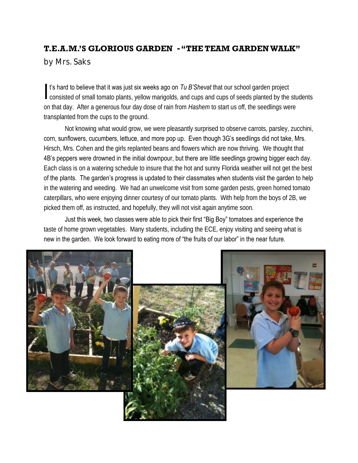#### **T.E.A.M.'S GLORIOUS GARDEN - "THE TEAM GARDEN WALK"**

by Mrs. Saks

I's hard to believe that it was just six weeks ago on Tu B'Shevat that our school garden project<br>consisted of small tomato plants, yellow marigolds, and cups and cups of seeds planted by the students t's hard to believe that it was just six weeks ago on *Tu B'Shevat* that our school garden project on that day. After a generous four day dose of rain from *Hashem* to start us off, the seedlings were transplanted from the cups to the ground.

Not knowing what would grow, we were pleasantly surprised to observe carrots, parsley, zucchini, corn, sunflowers, cucumbers, lettuce, and more pop up. Even though 3G's seedlings did not take, Mrs. Hirsch, Mrs. Cohen and the girls replanted beans and flowers which are now thriving. We thought that 4B's peppers were drowned in the initial downpour, but there are little seedlings growing bigger each day. Each class is on a watering schedule to insure that the hot and sunny Florida weather will not get the best of the plants. The garden's progress is updated to their classmates when students visit the garden to help in the watering and weeding. We had an unwelcome visit from some garden pests, green horned tomato caterpillars, who were enjoying dinner courtesy of our tomato plants. With help from the boys of 2B, we picked them off, as instructed, and hopefully, they will not visit again anytime soon.

Just this week, two classes were able to pick their first "Big Boy" tomatoes and experience the taste of home grown vegetables. Many students, including the ECE, enjoy visiting and seeing what is new in the garden. We look forward to eating more of "the fruits of our labor" in the near future.

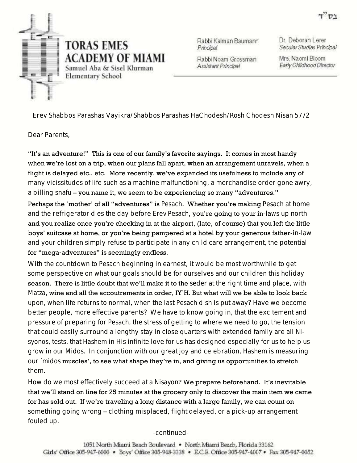

Rabbi Kalman Baumann Principal

Rabbi Noam Grossman Assistant Principal

Dr. Deborah Lerer Secular Studies Principal

Mrs. Naomi Bloom Early Childhood Director

Erev Shabbos Parashas Vayikra/Shabbos Parashas HaChodesh/Rosh Chodesh Nisan 5772

Dear Parents,

"It's an adventure!" This is one of our family's favorite sayings. It comes in most handy when we're lost on a trip, when our plans fall apart, when an arrangement unravels, when a flight is delayed etc., etc. More recently, we've expanded its usefulness to include any of many vicissitudes of life such as a machine malfunctioning, a merchandise order gone awry, a billing snafu – you name it, we seem to be experiencing so many "adventures."

Perhaps the `mother' of all "adventures" is *Pesach*. Whether you're making *Pesach* at home and the refrigerator dies the day before *Erev Pesach*, you're going to your in-laws up north and you realize once you're checking in at the airport, (late, of course) that you left the little boys' suitcase at home, or you're being pampered at a hotel by your generous father-in-law and your children simply refuse to participate in any child care arrangement, the potential for "mega-adventures" is seemingly endless.

With the countdown to *Pesach* beginning in earnest, it would be most worthwhile to get some perspective on what our goals should be for ourselves and our children this holiday season. There is little doubt that we'll make it to the *seder* at the right time and place, with *Matza*, wine and all the accoutrements in order, IY'H. But what will we be able to look back upon, when life returns to normal, when the last *Pesach* dish is put away? Have we become better people, more effective parents? We have to know going in, that the excitement and pressure of preparing for *Pesach*, the stress of getting to where we need to go, the tension that could easily surround a lengthy stay in close quarters with extended family are all *Nisyonos*, tests, that *Hashem* in His infinite love for us has designed especially for us to help us grow in our *Midos*. In conjunction with our great joy and celebration, *Hashem* is measuring our `*midos* muscles', to see what shape they're in, and giving us opportunities to stretch them.

How do we most effectively succeed at a *Nisayon*? We prepare beforehand. It's inevitable that we'll stand on line for 25 minutes at the grocery only to discover the main item we came for has sold out. If we're traveling a long distance with a large family, we can count on something going wrong – clothing misplaced, flight delayed, or a pick-up arrangement fouled up.

-continued-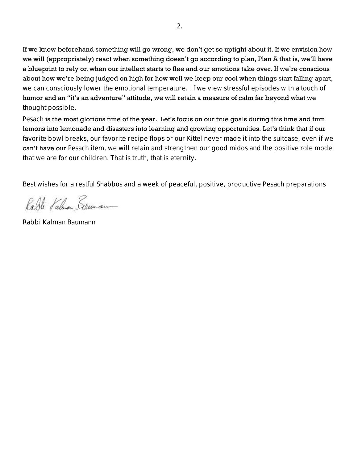If we know beforehand something will go wrong, we don't get so uptight about it. If we envision how we will (appropriately) react when something doesn't go according to plan, Plan A that is, we'll have a blueprint to rely on when our intellect starts to flee and our emotions take over. If we're conscious about how we're being judged on high for how well we keep our cool when things start falling apart, we can consciously lower the emotional temperature. If we view stressful episodes with a touch of humor and an "it's an adventure" attitude, we will retain a measure of calm far beyond what we thought possible.

*Pesach* is the most glorious time of the year. Let's focus on our true goals during this time and turn lemons into lemonade and disasters into learning and growing opportunities. Let's think that if our favorite bowl breaks, our favorite recipe flops or our *Kittel* never made it into the suitcase, even if we can't have our *Pesach* item, we will retain and strengthen our good *midos* and the positive role model that we are for our children. That is truth, that is eternity.

Best wishes for a restful *Shabbos* and a week of peaceful, positive, productive Pesach preparations

Rabli Kalman Deuman

Rabbi Kalman Baumann